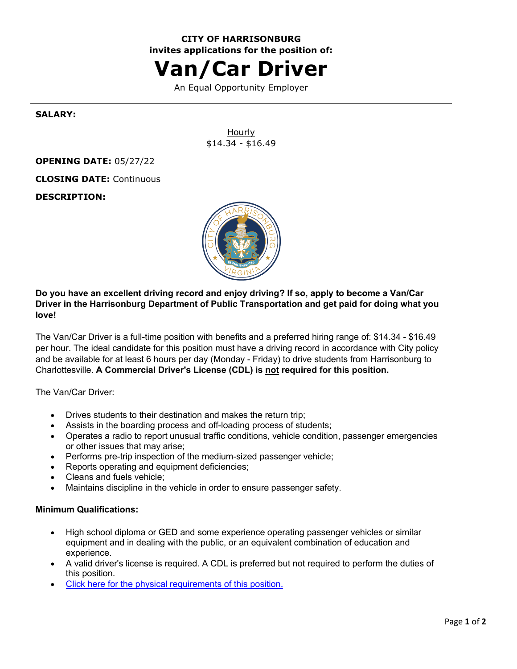# **CITY OF HARRISONBURG invites applications for the position of:**

# **Van/Car Driver**

An Equal Opportunity Employer

#### **SALARY:**

Hourly \$14.34 - \$16.49

#### **OPENING DATE:** 05/27/22

**CLOSING DATE:** Continuous

**DESCRIPTION:**



**Do you have an excellent driving record and enjoy driving? If so, apply to become a Van/Car Driver in the Harrisonburg Department of Public Transportation and get paid for doing what you love!**

The Van/Car Driver is a full-time position with benefits and a preferred hiring range of: \$14.34 - \$16.49 per hour. The ideal candidate for this position must have a driving record in accordance with City policy and be available for at least 6 hours per day (Monday - Friday) to drive students from Harrisonburg to Charlottesville. **A Commercial Driver's License (CDL) is not required for this position.**

The Van/Car Driver:

- Drives students to their destination and makes the return trip;
- Assists in the boarding process and off-loading process of students;
- Operates a radio to report unusual traffic conditions, vehicle condition, passenger emergencies or other issues that may arise;
- Performs pre-trip inspection of the medium-sized passenger vehicle;
- Reports operating and equipment deficiencies;
- Cleans and fuels vehicle;
- Maintains discipline in the vehicle in order to ensure passenger safety.

#### **Minimum Qualifications:**

- High school diploma or GED and some experience operating passenger vehicles or similar equipment and in dealing with the public, or an equivalent combination of education and experience.
- A valid driver's license is required. A CDL is preferred but not required to perform the duties of this position.
- [Click here for the physical requirements of this position.](https://www.governmentjobs.com/careers/harrisonburg/classspecs/1088063?keywords=5624&pagetype=classSpecifications)